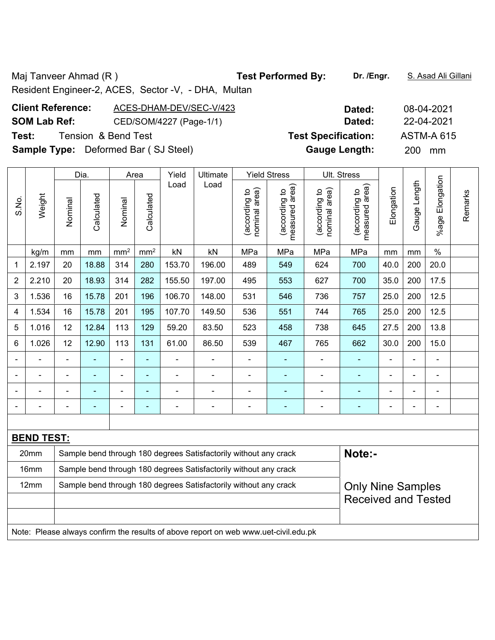Maj Tanveer Ahmad (R) **Test Performed By:** Dr. /Engr. **S. Asad Ali Gillani** Ali Gillani

Resident Engineer-2, ACES, Sector -V, - DHA, Multan

## **Client Reference:** ACES-DHAM-DEV/SEC-V/423 **Dated:** 08-04-2021 **SOM Lab Ref:** CED/SOM/4227 (Page-1/1) **Dated:** 22-04-2021 **Test:** Tension & Bend Test **Test Specification:** ASTM-A 615 **Sample Type:** Deformed Bar ( SJ Steel) **Gauge Length:** 200 mm

|                |                   | Dia.                       |            | Area            | Yield           | Ultimate |                                                                                     | <b>Yield Stress</b>            |                                 | Ult. Stress                    |                                    |            |              |                 |         |
|----------------|-------------------|----------------------------|------------|-----------------|-----------------|----------|-------------------------------------------------------------------------------------|--------------------------------|---------------------------------|--------------------------------|------------------------------------|------------|--------------|-----------------|---------|
| S.No.          | Weight            | Nominal                    | Calculated | Nominal         | Calculated      | Load     | Load                                                                                | nominal area)<br>(according to | (according to<br>measured area) | (according to<br>nominal area) | area)<br>(according to<br>measured | Elongation | Gauge Length | %age Elongation | Remarks |
|                | kg/m              | mm                         | mm         | mm <sup>2</sup> | mm <sup>2</sup> | kN       | kN                                                                                  | MPa                            | MPa                             | MPa                            | MPa                                | mm         | mm           | $\frac{0}{0}$   |         |
| 1              | 2.197             | 20                         | 18.88      | 314             | 280             | 153.70   | 196.00                                                                              | 489                            | 549                             | 624                            | 700                                | 40.0       | 200          | 20.0            |         |
| $\overline{2}$ | 2.210             | 20                         | 18.93      | 314             | 282             | 155.50   | 197.00                                                                              | 495                            | 553                             | 627                            | 700                                | 35.0       | 200          | 17.5            |         |
| 3              | 1.536             | 16                         | 15.78      | 201             | 196             | 106.70   | 148.00                                                                              | 531                            | 546                             | 736                            | 757                                | 25.0       | 200          | 12.5            |         |
| 4              | 1.534             | 16                         | 15.78      | 201             | 195             | 107.70   | 149.50                                                                              | 536                            | 551                             | 744                            | 765                                | 25.0       | 200          | 12.5            |         |
| 5              | 1.016             | 12                         | 12.84      | 113             | 129             | 59.20    | 83.50                                                                               | 523                            | 458                             | 738                            | 645                                | 27.5       | 200          | 13.8            |         |
| 6              | 1.026             | 12                         | 12.90      | 113             | 131             | 61.00    | 86.50                                                                               | 539                            | 467                             | 765                            | 662                                | 30.0       | 200          | 15.0            |         |
|                |                   | ä,                         |            | ä,              | ä,              |          | $\blacksquare$                                                                      | $\blacksquare$                 |                                 |                                |                                    |            | L,           | ä,              |         |
|                |                   |                            |            | $\blacksquare$  | ٠               |          | $\overline{a}$                                                                      | $\blacksquare$                 |                                 |                                | $\blacksquare$                     |            | Ē,           | $\blacksquare$  |         |
|                |                   |                            |            | $\blacksquare$  | ٠               |          |                                                                                     |                                |                                 |                                | $\blacksquare$                     |            |              | $\blacksquare$  |         |
|                |                   |                            |            | L.              | $\overline{a}$  |          | $\overline{\phantom{0}}$                                                            | ٠                              |                                 |                                |                                    |            |              | $\blacksquare$  |         |
|                |                   |                            |            |                 |                 |          |                                                                                     |                                |                                 |                                |                                    |            |              |                 |         |
|                | <b>BEND TEST:</b> |                            |            |                 |                 |          |                                                                                     |                                |                                 |                                |                                    |            |              |                 |         |
|                | 20mm              |                            |            |                 |                 |          | Sample bend through 180 degrees Satisfactorily without any crack                    |                                |                                 |                                | Note:-                             |            |              |                 |         |
|                | 16mm              |                            |            |                 |                 |          | Sample bend through 180 degrees Satisfactorily without any crack                    |                                |                                 |                                |                                    |            |              |                 |         |
|                | 12mm              |                            |            |                 |                 |          | Sample bend through 180 degrees Satisfactorily without any crack                    |                                |                                 |                                | <b>Only Nine Samples</b>           |            |              |                 |         |
|                |                   | <b>Received and Tested</b> |            |                 |                 |          |                                                                                     |                                |                                 |                                |                                    |            |              |                 |         |
|                |                   |                            |            |                 |                 |          |                                                                                     |                                |                                 |                                |                                    |            |              |                 |         |
|                |                   |                            |            |                 |                 |          | Note: Please always confirm the results of above report on web www.uet-civil.edu.pk |                                |                                 |                                |                                    |            |              |                 |         |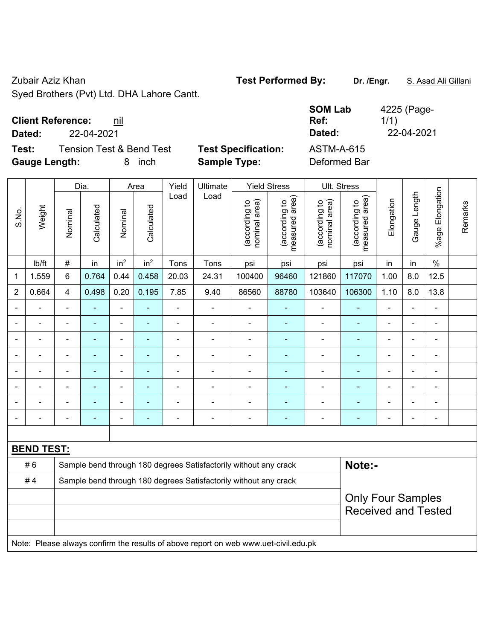Zubair Aziz Khan **Test Performed By: Dr. /Engr.** S. Asad Ali Gillani

Syed Brothers (Pvt) Ltd. DHA Lahore Cantt.

| <b>Client Reference:</b> | nil |
|--------------------------|-----|
|--------------------------|-----|

**Test:** Tension Test & Bend Test **Test Specification: Gauge Length:** 8 inch **Sample Type:** Deformed Bar

| <b>Client Reference:</b> | nil                                 |                            | <b>SOM Lab</b><br>Ref: | 4225 (Page-<br>1/1) |
|--------------------------|-------------------------------------|----------------------------|------------------------|---------------------|
| Dated:                   | 22-04-2021                          |                            | Dated:                 | 22-04-2021          |
| Test:                    | <b>Tension Test &amp; Bend Test</b> | <b>Test Specification:</b> | <b>ASTM-A-615</b>      |                     |

|                          |                   |                                                                                     | Dia.           |                 | Area            | Yield | Ultimate                                                         |                                | <b>Yield Stress</b>                |                                | Ult. Stress                     |                |                |                          |         |
|--------------------------|-------------------|-------------------------------------------------------------------------------------|----------------|-----------------|-----------------|-------|------------------------------------------------------------------|--------------------------------|------------------------------------|--------------------------------|---------------------------------|----------------|----------------|--------------------------|---------|
| S.No.                    | Weight            | Nominal                                                                             | Calculated     | Nominal         | Calculated      | Load  | Load                                                             | (according to<br>nominal area) | area)<br>(according to<br>measured | nominal area)<br>(according to | measured area)<br>(according to | Elongation     | Gauge Length   | Elongation<br>$%$ age    | Remarks |
|                          | lb/ft             | $\#$                                                                                | in             | in <sup>2</sup> | in <sup>2</sup> | Tons  | Tons                                                             | psi                            | psi                                | psi                            | psi                             | in             | in             | $\%$                     |         |
| 1                        | 1.559             | 6                                                                                   | 0.764          | 0.44            | 0.458           | 20.03 | 24.31                                                            | 100400                         | 96460                              | 121860                         | 117070                          | 1.00           | 8.0            | 12.5                     |         |
| $\overline{2}$           | 0.664             | $\overline{4}$                                                                      | 0.498          | 0.20            | 0.195           | 7.85  | 9.40                                                             | 86560                          | 88780                              | 103640                         | 106300                          | 1.10           | 8.0            | 13.8                     |         |
|                          |                   | ä,                                                                                  | $\blacksquare$ | $\blacksquare$  |                 | ä,    |                                                                  |                                |                                    | $\blacksquare$                 | ä,                              |                |                | Ē,                       |         |
|                          |                   | $\blacksquare$                                                                      | ä,             | $\blacksquare$  | $\blacksquare$  |       | $\blacksquare$                                                   | $\blacksquare$                 | $\blacksquare$                     | $\blacksquare$                 | $\blacksquare$                  | $\blacksquare$ |                | $\overline{\phantom{0}}$ |         |
|                          |                   |                                                                                     |                | $\blacksquare$  |                 |       |                                                                  |                                |                                    |                                |                                 |                |                | ٠                        |         |
|                          |                   |                                                                                     | $\blacksquare$ | $\blacksquare$  |                 |       | $\blacksquare$                                                   |                                |                                    | $\blacksquare$                 | $\blacksquare$                  | $\blacksquare$ | $\blacksquare$ | $\overline{\phantom{0}}$ |         |
| $\overline{\phantom{a}}$ |                   | $\overline{\phantom{0}}$                                                            | $\blacksquare$ | $\blacksquare$  | ٠               | -     | Ē,                                                               | ÷                              |                                    | $\blacksquare$                 | Ē.                              | $\blacksquare$ | $\blacksquare$ | ÷                        |         |
|                          |                   | $\blacksquare$                                                                      | $\blacksquare$ | $\blacksquare$  |                 | -     | ÷                                                                |                                |                                    | $\blacksquare$                 | ٠                               | $\blacksquare$ | ä,             | ÷                        |         |
|                          |                   |                                                                                     | ÷,             | $\blacksquare$  |                 |       | ÷,                                                               | $\qquad \qquad \blacksquare$   | $\blacksquare$                     | $\blacksquare$                 | ٠                               | $\blacksquare$ |                | Ē,                       |         |
|                          |                   |                                                                                     |                |                 |                 |       |                                                                  |                                |                                    |                                |                                 |                |                | ٠                        |         |
|                          |                   |                                                                                     |                |                 |                 |       |                                                                  |                                |                                    |                                |                                 |                |                |                          |         |
|                          | <b>BEND TEST:</b> |                                                                                     |                |                 |                 |       |                                                                  |                                |                                    |                                |                                 |                |                |                          |         |
|                          | #6                |                                                                                     |                |                 |                 |       | Sample bend through 180 degrees Satisfactorily without any crack |                                |                                    |                                | Note:-                          |                |                |                          |         |
|                          | #4                |                                                                                     |                |                 |                 |       | Sample bend through 180 degrees Satisfactorily without any crack |                                |                                    |                                |                                 |                |                |                          |         |
|                          |                   | <b>Only Four Samples</b><br><b>Received and Tested</b>                              |                |                 |                 |       |                                                                  |                                |                                    |                                |                                 |                |                |                          |         |
|                          |                   | Note: Please always confirm the results of above report on web www.uet-civil.edu.pk |                |                 |                 |       |                                                                  |                                |                                    |                                |                                 |                |                |                          |         |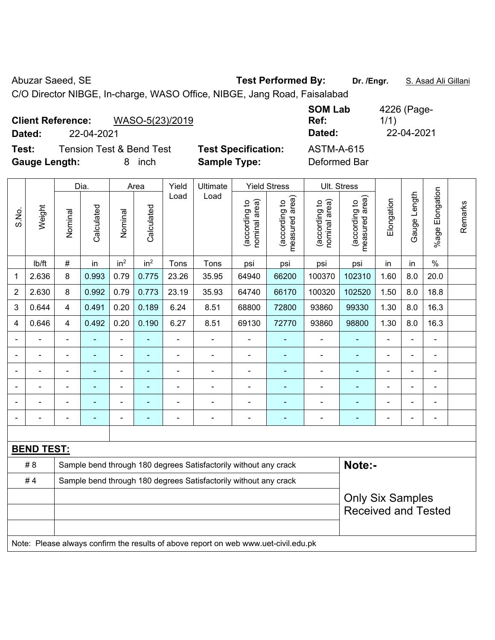Abuzar Saeed, SE **Test Performed By:** Dr. /Engr. **S. Asad Ali Gillani** Abuzar Saeed, SE C/O Director NIBGE, In-charge, WASO Office, NIBGE, Jang Road, Faisalabad

**Client Reference:** WASO-5(23)/2019 **SOM Lab Ref:**  1/1) **Dated:** 22-04-2021 **Dated:** 22-04-2021 **Test:** Tension Test & Bend Test **Test Specification:** ASTM-A-615 **Gauge Length:** 8 inch **Sample Type:** Deformed Bar

|                |                   |                          | Dia.           |                              | Area            | Yield          | <b>Ultimate</b>                                                                     |                                | <b>Yield Stress</b>             |                                | Ult. Stress                     |                            |                |                         |         |  |  |
|----------------|-------------------|--------------------------|----------------|------------------------------|-----------------|----------------|-------------------------------------------------------------------------------------|--------------------------------|---------------------------------|--------------------------------|---------------------------------|----------------------------|----------------|-------------------------|---------|--|--|
| S.No.          | Weight            | Nominal                  | Calculated     | Nominal                      | Calculated      | Load           | Load                                                                                | nominal area)<br>(according to | (according to<br>measured area) | nominal area)<br>(according to | measured area)<br>(according to | Elongation                 | Gauge Length   | Elongation<br>$%$ age I | Remarks |  |  |
|                | lb/ft             | #                        | in             | in <sup>2</sup>              | in <sup>2</sup> | Tons           | Tons                                                                                | psi                            | psi                             | psi                            | psi                             | in                         | in             | $\%$                    |         |  |  |
| 1              | 2.636             | 8                        | 0.993          | 0.79                         | 0.775           | 23.26          | 35.95                                                                               | 64940                          | 66200                           | 100370                         | 102310                          | 1.60                       | 8.0            | 20.0                    |         |  |  |
| $\overline{2}$ | 2.630             | 8                        | 0.992          | 0.79                         | 0.773           | 23.19          | 35.93                                                                               | 64740                          | 66170                           | 100320                         | 102520                          | 1.50                       | 8.0            | 18.8                    |         |  |  |
| 3              | 0.644             | 4                        | 0.491          | 0.20                         | 0.189           | 6.24           | 8.51                                                                                | 68800                          | 72800                           | 93860                          | 99330                           | 1.30                       | 8.0            | 16.3                    |         |  |  |
| 4              | 0.646             | 4                        | 0.492          | 0.20                         | 0.190           | 6.27           | 8.51                                                                                | 69130                          | 72770                           | 93860                          | 98800                           | 1.30                       | 8.0            | 16.3                    |         |  |  |
| ÷              |                   | $\blacksquare$           | ä,             | $\qquad \qquad \blacksquare$ | $\blacksquare$  | $\frac{1}{2}$  | ÷,                                                                                  | $\blacksquare$                 | $\blacksquare$                  | $\blacksquare$                 | ÷                               | $\blacksquare$             | ÷,             | $\blacksquare$          |         |  |  |
|                |                   | $\blacksquare$           | ä,             | $\blacksquare$               | $\blacksquare$  | $\blacksquare$ | $\blacksquare$                                                                      | $\overline{a}$                 | $\blacksquare$                  | $\blacksquare$                 | ä,                              | $\overline{a}$             | L,             | $\blacksquare$          |         |  |  |
|                | $\blacksquare$    | $\blacksquare$           | ÷              | $\qquad \qquad \blacksquare$ | $\blacksquare$  | $\blacksquare$ | $\blacksquare$                                                                      | $\overline{a}$                 | $\blacksquare$                  | $\overline{a}$                 | $\blacksquare$                  | $\overline{\phantom{a}}$   | L,             | $\blacksquare$          |         |  |  |
|                |                   |                          | $\blacksquare$ | $\blacksquare$               | ÷               | $\blacksquare$ | $\blacksquare$                                                                      | L,                             | ۰                               |                                | Ē.                              |                            |                | L,                      |         |  |  |
|                |                   |                          |                |                              |                 |                |                                                                                     |                                |                                 |                                |                                 |                            |                |                         |         |  |  |
|                |                   | $\overline{\phantom{0}}$ | ۰              | $\blacksquare$               | ۳               |                | $\blacksquare$                                                                      | ۰                              | ۰                               | $\qquad \qquad \blacksquare$   | ٠                               | $\blacksquare$             | $\blacksquare$ | $\blacksquare$          |         |  |  |
|                |                   |                          |                |                              |                 |                |                                                                                     |                                |                                 |                                |                                 |                            |                |                         |         |  |  |
|                | <b>BEND TEST:</b> |                          |                |                              |                 |                |                                                                                     |                                |                                 |                                |                                 |                            |                |                         |         |  |  |
|                | #8                |                          |                |                              |                 |                | Sample bend through 180 degrees Satisfactorily without any crack                    |                                |                                 |                                | Note:-                          |                            |                |                         |         |  |  |
|                | #4                |                          |                |                              |                 |                | Sample bend through 180 degrees Satisfactorily without any crack                    |                                |                                 |                                |                                 |                            |                |                         |         |  |  |
|                |                   |                          |                |                              |                 |                |                                                                                     |                                |                                 |                                | <b>Only Six Samples</b>         |                            |                |                         |         |  |  |
|                |                   |                          |                |                              |                 |                |                                                                                     |                                |                                 |                                |                                 | <b>Received and Tested</b> |                |                         |         |  |  |
|                |                   |                          |                |                              |                 |                |                                                                                     |                                |                                 |                                |                                 |                            |                |                         |         |  |  |
|                |                   |                          |                |                              |                 |                | Note: Please always confirm the results of above report on web www.uet-civil.edu.pk |                                |                                 |                                |                                 |                            |                |                         |         |  |  |

4226 (Page-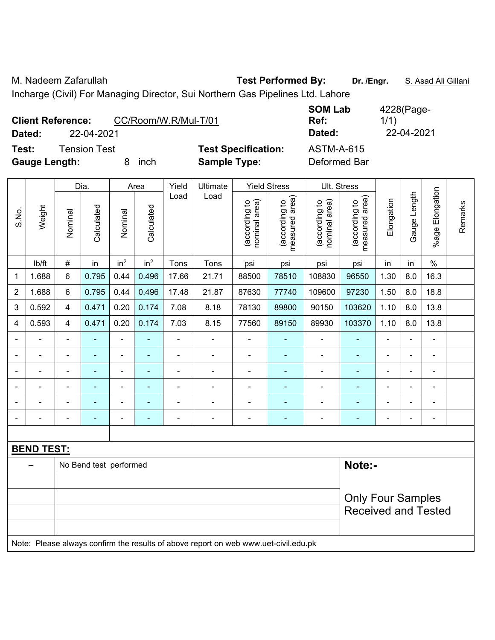M. Nadeem Zafarullah **Test Performed By:** Dr. /Engr. **S. Asad Ali Gillani** 

Incharge (Civil) For Managing Director, Sui Northern Gas Pipelines Ltd. Lahore

| <b>Client Reference:</b><br>22-04-2021<br>Dated: | CC/Room/W.R/Mul-T/01 |                                                   | <b>SOM Lab</b><br>Ref:<br>Dated:  | 4228(Page-<br>1/1)<br>22-04-2021 |
|--------------------------------------------------|----------------------|---------------------------------------------------|-----------------------------------|----------------------------------|
| Tension Test<br>Test:<br><b>Gauge Length:</b>    | inch                 | <b>Test Specification:</b><br><b>Sample Type:</b> | <b>ASTM-A-615</b><br>Deformed Bar |                                  |

|                |                   |                                                                                     | Dia.                   |                 | Area            | Yield          | Ultimate                 |                                | <b>Yield Stress</b>             |                                | Ult. Stress                     |                |                |                           |         |
|----------------|-------------------|-------------------------------------------------------------------------------------|------------------------|-----------------|-----------------|----------------|--------------------------|--------------------------------|---------------------------------|--------------------------------|---------------------------------|----------------|----------------|---------------------------|---------|
| S.No.          | Weight            | Nominal                                                                             | Calculated             | Nominal         | Calculated      | Load           | Load                     | nominal area)<br>(according to | measured area)<br>(according to | nominal area)<br>(according to | (according to<br>measured area) | Elongation     | Gauge Length   | Elongation<br>$%$ age $ $ | Remarks |
|                | lb/ft             | $\#$                                                                                | in                     | in <sup>2</sup> | in <sup>2</sup> | Tons           | Tons                     | psi                            | psi                             | psi                            | psi                             | in             | in             | $\%$                      |         |
| $\mathbf{1}$   | 1.688             | 6                                                                                   | 0.795                  | 0.44            | 0.496           | 17.66          | 21.71                    | 88500                          | 78510                           | 108830                         | 96550                           | 1.30           | 8.0            | 16.3                      |         |
| $\overline{c}$ | 1.688             | 6                                                                                   | 0.795                  | 0.44            | 0.496           | 17.48          | 21.87                    | 87630                          | 77740                           | 109600                         | 97230                           | 1.50           | 8.0            | 18.8                      |         |
| 3              | 0.592             | $\overline{\mathbf{4}}$                                                             | 0.471                  | 0.20            | 0.174           | 7.08           | 8.18                     | 78130                          | 89800                           | 90150                          | 103620                          | 1.10           | 8.0            | 13.8                      |         |
| 4              | 0.593             | 4                                                                                   | 0.471                  | 0.20            | 0.174           | 7.03           | 8.15                     | 77560                          | 89150                           | 89930                          | 103370                          | 1.10           | 8.0            | 13.8                      |         |
| $\blacksquare$ | $\blacksquare$    | $\blacksquare$                                                                      | $\blacksquare$         | $\blacksquare$  | $\blacksquare$  | $\blacksquare$ | $\blacksquare$           | $\blacksquare$                 | $\overline{\phantom{a}}$        | $\blacksquare$                 | $\blacksquare$                  | $\blacksquare$ | $\blacksquare$ | $\blacksquare$            |         |
| $\blacksquare$ | $\blacksquare$    | ä,                                                                                  | $\blacksquare$         | $\blacksquare$  | $\blacksquare$  | ÷,             | $\blacksquare$           | $\blacksquare$                 | $\blacksquare$                  | ÷,                             | ÷,                              | $\blacksquare$ | ä,             | $\blacksquare$            |         |
| $\blacksquare$ | $\blacksquare$    | $\blacksquare$                                                                      | ä,                     | ä,              |                 | $\blacksquare$ | $\blacksquare$           | $\blacksquare$                 | $\blacksquare$                  | $\blacksquare$                 | $\blacksquare$                  | $\blacksquare$ | $\blacksquare$ | $\blacksquare$            |         |
|                |                   |                                                                                     | $\blacksquare$         |                 |                 |                |                          |                                |                                 |                                |                                 |                | $\blacksquare$ | $\blacksquare$            |         |
| $\blacksquare$ |                   |                                                                                     |                        |                 |                 |                |                          |                                |                                 |                                |                                 |                |                |                           |         |
| $\blacksquare$ |                   | $\blacksquare$                                                                      | $\blacksquare$         | ٠               | $\blacksquare$  | $\blacksquare$ | $\overline{\phantom{0}}$ | $\overline{\phantom{0}}$       | $\overline{\phantom{a}}$        | $\blacksquare$                 | $\overline{\phantom{0}}$        | $\blacksquare$ | $\overline{a}$ | $\overline{\phantom{a}}$  |         |
|                |                   |                                                                                     |                        |                 |                 |                |                          |                                |                                 |                                |                                 |                |                |                           |         |
|                | <b>BEND TEST:</b> |                                                                                     |                        |                 |                 |                |                          |                                |                                 |                                |                                 |                |                |                           |         |
|                | $\overline{a}$    |                                                                                     | No Bend test performed |                 |                 |                |                          |                                |                                 |                                | Note:-                          |                |                |                           |         |
|                |                   |                                                                                     |                        |                 |                 |                |                          |                                |                                 |                                |                                 |                |                |                           |         |
|                |                   |                                                                                     |                        |                 |                 |                |                          |                                |                                 |                                | <b>Only Four Samples</b>        |                |                |                           |         |
|                |                   |                                                                                     |                        |                 |                 |                |                          |                                |                                 |                                | <b>Received and Tested</b>      |                |                |                           |         |
|                |                   | Note: Please always confirm the results of above report on web www.uet-civil.edu.pk |                        |                 |                 |                |                          |                                |                                 |                                |                                 |                |                |                           |         |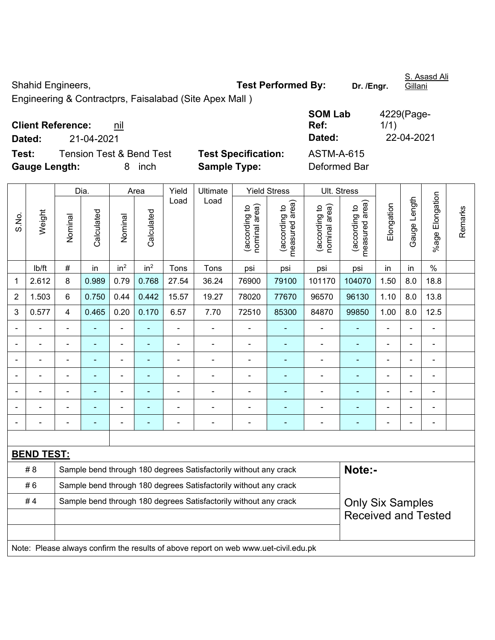Shahid Engineers, **Test Performed By:** Dr. /Engr.

Gillani

Engineering & Contractprs, Faisalabad (Site Apex Mall )

| <b>Client Reference:</b> | nil |
|--------------------------|-----|
|--------------------------|-----|

**Test:** Tension Test & Bend Test **Test Specification:** ASTM-A-615 **Gauge Length:** 8 inch **Sample Type:** Deformed Bar

**SOM Lab Ref:**  4229(Page-1/1) **Dated:** 21-04-2021 **Dated:** 22-04-2021

|                |                   |                            | Dia.           |                 | Area                     | Yield | Ultimate                                                                            |                                | <b>Yield Stress</b>             |                                | Ult. Stress                     |                |                |                          | Remarks |
|----------------|-------------------|----------------------------|----------------|-----------------|--------------------------|-------|-------------------------------------------------------------------------------------|--------------------------------|---------------------------------|--------------------------------|---------------------------------|----------------|----------------|--------------------------|---------|
| S.No.          | Weight            | Nominal                    | Calculated     | Nominal         | Calculated               | Load  | Load                                                                                | nominal area)<br>(according to | (according to<br>measured area) | (according to<br>nominal area) | (according to<br>measured area) | Elongation     | Gauge Length   | Elongation<br>%age I     |         |
|                | lb/ft             | $\#$                       | in             | in <sup>2</sup> | in <sup>2</sup>          | Tons  | Tons                                                                                | psi                            | psi                             | psi                            | psi                             | in             | in             | $\frac{0}{0}$            |         |
| 1              | 2.612             | 8                          | 0.989          | 0.79            | 0.768                    | 27.54 | 36.24                                                                               | 76900                          | 79100                           | 101170                         | 104070                          | 1.50           | 8.0            | 18.8                     |         |
| $\overline{2}$ | 1.503             | 6                          | 0.750          | 0.44            | 0.442                    | 15.57 | 19.27                                                                               | 78020                          | 77670                           | 96570                          | 96130                           | 1.10           | 8.0            | 13.8                     |         |
| 3              | 0.577             | $\overline{4}$             | 0.465          | 0.20            | 0.170                    | 6.57  | 7.70                                                                                | 72510                          | 85300                           | 84870                          | 99850                           | 1.00           | 8.0            | 12.5                     |         |
|                |                   |                            |                | $\blacksquare$  |                          |       |                                                                                     |                                |                                 |                                |                                 |                |                | ÷                        |         |
|                |                   | $\blacksquare$             | $\blacksquare$ | $\blacksquare$  | $\overline{\phantom{a}}$ | ä,    | $\frac{1}{2}$                                                                       |                                | $\blacksquare$                  | $\blacksquare$                 | ÷                               | $\blacksquare$ | $\blacksquare$ | $\blacksquare$           |         |
|                |                   |                            | ÷              | $\blacksquare$  |                          |       | $\blacksquare$                                                                      |                                | $\blacksquare$                  | $\blacksquare$                 | ÷                               |                | ÷,             | $\overline{\phantom{a}}$ |         |
|                |                   | $\blacksquare$             | $\blacksquare$ | $\blacksquare$  | $\blacksquare$           | ÷     | $\blacksquare$                                                                      | ä,                             | $\blacksquare$                  | $\blacksquare$                 | ÷                               | $\blacksquare$ | $\overline{a}$ | $\blacksquare$           |         |
|                |                   |                            |                | $\blacksquare$  |                          |       |                                                                                     |                                | ۰                               |                                |                                 |                |                | L,                       |         |
|                |                   |                            |                |                 |                          |       |                                                                                     |                                |                                 |                                |                                 |                |                |                          |         |
|                |                   |                            |                | $\blacksquare$  | $\overline{\phantom{a}}$ |       | $\blacksquare$                                                                      | $\overline{\phantom{0}}$       | ۰                               | $\blacksquare$                 | ۰                               |                | $\blacksquare$ | $\blacksquare$           |         |
|                |                   |                            |                |                 |                          |       |                                                                                     |                                |                                 |                                |                                 |                |                |                          |         |
|                | <b>BEND TEST:</b> |                            |                |                 |                          |       |                                                                                     |                                |                                 |                                |                                 |                |                |                          |         |
|                | # 8               |                            |                |                 |                          |       | Sample bend through 180 degrees Satisfactorily without any crack                    |                                |                                 |                                | Note:-                          |                |                |                          |         |
|                | #6                |                            |                |                 |                          |       | Sample bend through 180 degrees Satisfactorily without any crack                    |                                |                                 |                                |                                 |                |                |                          |         |
|                | #4                |                            |                |                 |                          |       | Sample bend through 180 degrees Satisfactorily without any crack                    |                                |                                 |                                | <b>Only Six Samples</b>         |                |                |                          |         |
|                |                   | <b>Received and Tested</b> |                |                 |                          |       |                                                                                     |                                |                                 |                                |                                 |                |                |                          |         |
|                |                   |                            |                |                 |                          |       |                                                                                     |                                |                                 |                                |                                 |                |                |                          |         |
|                |                   |                            |                |                 |                          |       | Note: Please always confirm the results of above report on web www.uet-civil.edu.pk |                                |                                 |                                |                                 |                |                |                          |         |

S. Asasd Ali